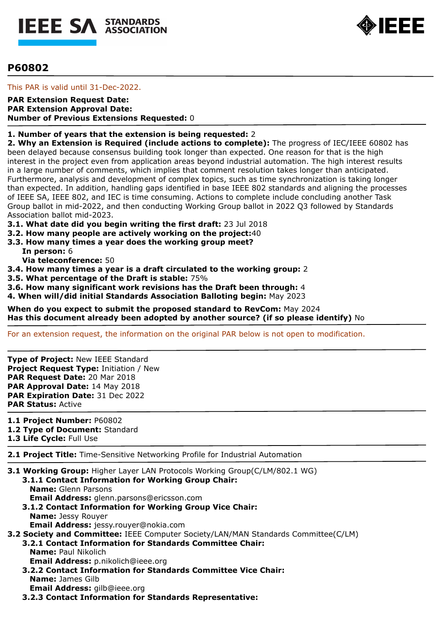



# **P60802**

This PAR is valid until 31-Dec-2022.

### **PAR Extension Request Date: PAR Extension Approval Date: Number of Previous Extensions Requested:** 0

# **1. Number of years that the extension is being requested:** 2

**2. Why an Extension is Required (include actions to complete):** The progress of IEC/IEEE 60802 has been delayed because consensus building took longer than expected. One reason for that is the high interest in the project even from application areas beyond industrial automation. The high interest results in a large number of comments, which implies that comment resolution takes longer than anticipated. Furthermore, analysis and development of complex topics, such as time synchronization is taking longer than expected. In addition, handling gaps identified in base IEEE 802 standards and aligning the processes of IEEE SA, IEEE 802, and IEC is time consuming. Actions to complete include concluding another Task Group ballot in mid-2022, and then conducting Working Group ballot in 2022 Q3 followed by Standards Association ballot mid-2023.

**3.1. What date did you begin writing the first draft:** 23 Jul 2018

- **3.2. How many people are actively working on the project:**40
- **3.3. How many times a year does the working group meet?**

**In person:** 6

**Via teleconference:** 50

- **3.4. How many times a year is a draft circulated to the working group:** 2
- **3.5. What percentage of the Draft is stable:** 75%

**3.6. How many significant work revisions has the Draft been through:** 4

**4. When will/did initial Standards Association Balloting begin:** May 2023

**When do you expect to submit the proposed standard to RevCom:** May 2024 **Has this document already been adopted by another source? (if so please identify)** No

For an extension request, the information on the original PAR below is not open to modification.

**Type of Project:** New IEEE Standard **Project Request Type:** Initiation / New **PAR Request Date:** 20 Mar 2018 **PAR Approval Date:** 14 May 2018 **PAR Expiration Date:** 31 Dec 2022 **PAR Status:** Active

**1.1 Project Number:** P60802

**1.2 Type of Document:** Standard

**1.3 Life Cycle:** Full Use

**2.1 Project Title:** Time-Sensitive Networking Profile for Industrial Automation

- **3.1 Working Group:** Higher Layer LAN Protocols Working Group(C/LM/802.1 WG)
	- **3.1.1 Contact Information for Working Group Chair: Name:** Glenn Parsons **Email Address:** glenn.parsons@ericsson.com **3.1.2 Contact Information for Working Group Vice Chair:**
	- **Name:** Jessy Rouyer **Email Address:** jessy.rouyer@nokia.com

**3.2 Society and Committee:** IEEE Computer Society/LAN/MAN Standards Committee(C/LM)

**3.2.1 Contact Information for Standards Committee Chair: Name:** Paul Nikolich

**Email Address:** p.nikolich@ieee.org

- **3.2.2 Contact Information for Standards Committee Vice Chair: Name:** James Gilb **Email Address:** gilb@ieee.org
- **3.2.3 Contact Information for Standards Representative:**